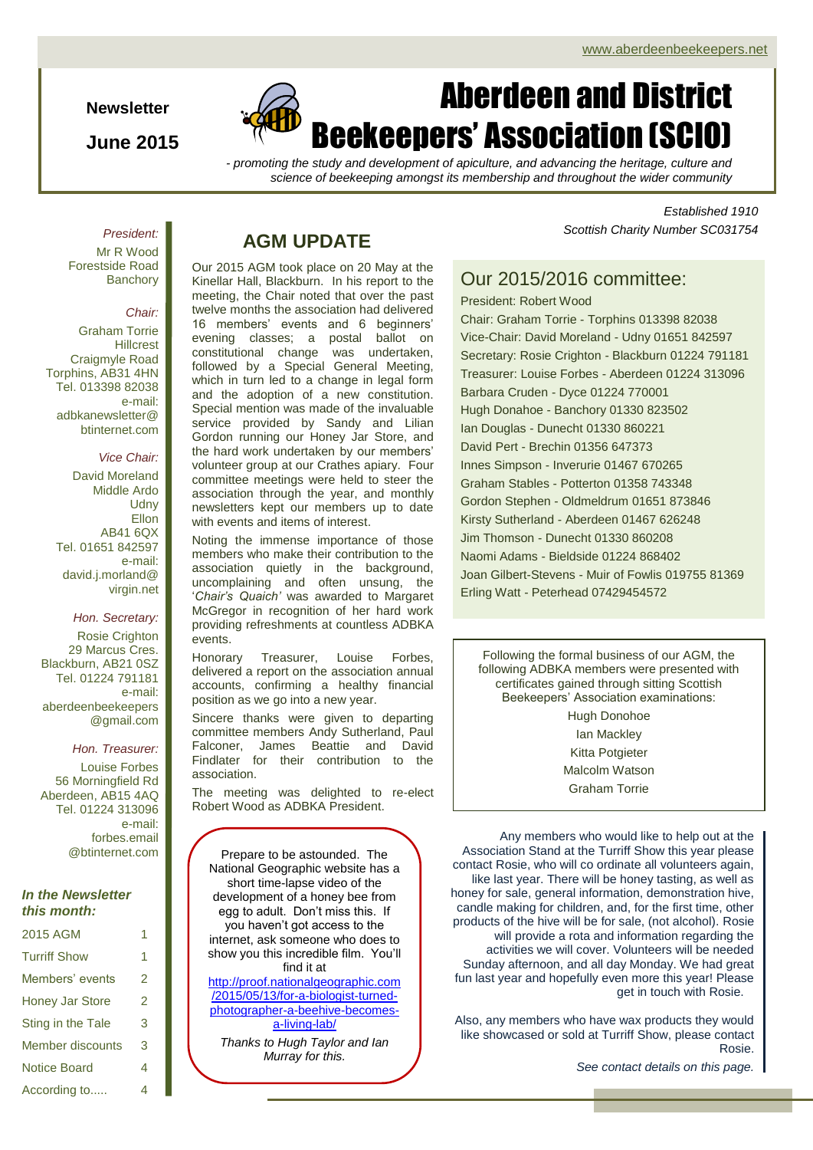**Newsletter**

**June 2015**



*- promoting the study and development of apiculture, and advancing the heritage, culture and science of beekeeping amongst its membership and throughout the wider community*

#### *President:*

Mr R Wood Forestside Road **Banchory** 

#### *Chair:*

Graham Torrie Hillcrest Craigmyle Road Torphins, AB31 4HN Tel. 013398 82038 e-mail: adbkanewsletter@ btinternet.com

### *Vice Chair:*

David Moreland Middle Ardo **Udny Ellon** AB41 6QX Tel. 01651 842597 e-mail: david.j.morland@ virgin.net

#### *Hon. Secretary:*

Rosie Crighton 29 Marcus Cres. Blackburn, AB21 0SZ Tel. 01224 791181 e-mail: aberdeenbeekeepers @gmail.com

#### *Hon. Treasurer:*

Louise Forbes 56 Morningfield Rd Aberdeen, AB15 4AQ Tel. 01224 313096 e-mail: forbes.email @btinternet.com

#### *In the Newsletter this month:*

| 2015 AGM               |   |
|------------------------|---|
| <b>Turriff Show</b>    | 1 |
| Members' events        | 2 |
| <b>Honey Jar Store</b> | 2 |
| Sting in the Tale      | 3 |
| Member discounts       | 3 |
| <b>Notice Board</b>    | 4 |
| According to           | 4 |

## **AGM UPDATE**

Our 2015 AGM took place on 20 May at the Kinellar Hall, Blackburn. In his report to the meeting, the Chair noted that over the past twelve months the association had delivered 16 members' events and 6 beginners' evening classes; a postal ballot on constitutional change was undertaken, followed by a Special General Meeting, which in turn led to a change in legal form and the adoption of a new constitution. Special mention was made of the invaluable service provided by Sandy and Lilian Gordon running our Honey Jar Store, and the hard work undertaken by our members' volunteer group at our Crathes apiary. Four committee meetings were held to steer the association through the year, and monthly newsletters kept our members up to date with events and items of interest.

Noting the immense importance of those members who make their contribution to the association quietly in the background, uncomplaining and often unsung, the '*Chair's Quaich'* was awarded to Margaret McGregor in recognition of her hard work providing refreshments at countless ADBKA events.

Honorary Treasurer, Louise Forbes, delivered a report on the association annual accounts, confirming a healthy financial position as we go into a new year.

Sincere thanks were given to departing committee members Andy Sutherland, Paul Falconer, James Beattie and David Findlater for their contribution to the association.

The meeting was delighted to re-elect Robert Wood as ADBKA President.

Prepare to be astounded. The National Geographic website has a short time-lapse video of the development of a honey bee from egg to adult. Don't miss this. If you haven't got access to the internet, ask someone who does to show you this incredible film. You'll find it at [http://proof.nationalgeographic.com](http://proof.nationalgeographic.com/2015/05/13/for-a-biologist-turned-photographer-a-beehive-becomes-a-living-lab/) [/2015/05/13/for-a-biologist-turned](http://proof.nationalgeographic.com/2015/05/13/for-a-biologist-turned-photographer-a-beehive-becomes-a-living-lab/)[photographer-a-beehive-becomes](http://proof.nationalgeographic.com/2015/05/13/for-a-biologist-turned-photographer-a-beehive-becomes-a-living-lab/)[a-living-lab/](http://proof.nationalgeographic.com/2015/05/13/for-a-biologist-turned-photographer-a-beehive-becomes-a-living-lab/)

*Thanks to Hugh Taylor and Ian Murray for this.*

*Established 1910 Scottish Charity Number SC031754*

## Our 2015/2016 committee:

President: Robert Wood Chair: Graham Torrie - Torphins 013398 82038 Vice-Chair: David Moreland - Udny 01651 842597 Secretary: Rosie Crighton - Blackburn 01224 791181 Treasurer: Louise Forbes - Aberdeen 01224 313096 Barbara Cruden - Dyce 01224 770001 Hugh Donahoe - Banchory 01330 823502 Ian Douglas - Dunecht 01330 860221 David Pert - Brechin 01356 647373 Innes Simpson - Inverurie 01467 670265 Graham Stables - Potterton 01358 743348 Gordon Stephen - Oldmeldrum 01651 873846 Kirsty Sutherland - Aberdeen 01467 626248 Jim Thomson - Dunecht 01330 860208 Naomi Adams - Bieldside 01224 868402 Joan Gilbert-Stevens - Muir of Fowlis 019755 81369 Erling Watt - Peterhead 07429454572

Following the formal business of our AGM, the following ADBKA members were presented with certificates gained through sitting Scottish Beekeepers' Association examinations:

> Hugh Donohoe **Ian Mackley** Kitta Potgieter Malcolm Watson Graham Torrie

Any members who would like to help out at the Association Stand at the Turriff Show this year please contact Rosie, who will co ordinate all volunteers again, like last year. There will be honey tasting, as well as honey for sale, general information, demonstration hive, candle making for children, and, for the first time, other products of the hive will be for sale, (not alcohol). Rosie will provide a rota and information regarding the activities we will cover. Volunteers will be needed Sunday afternoon, and all day Monday. We had great fun last year and hopefully even more this year! Please get in touch with Rosie.

Also, any members who have wax products they would like showcased or sold at Turriff Show, please contact Rosie.

*See contact details on this page.*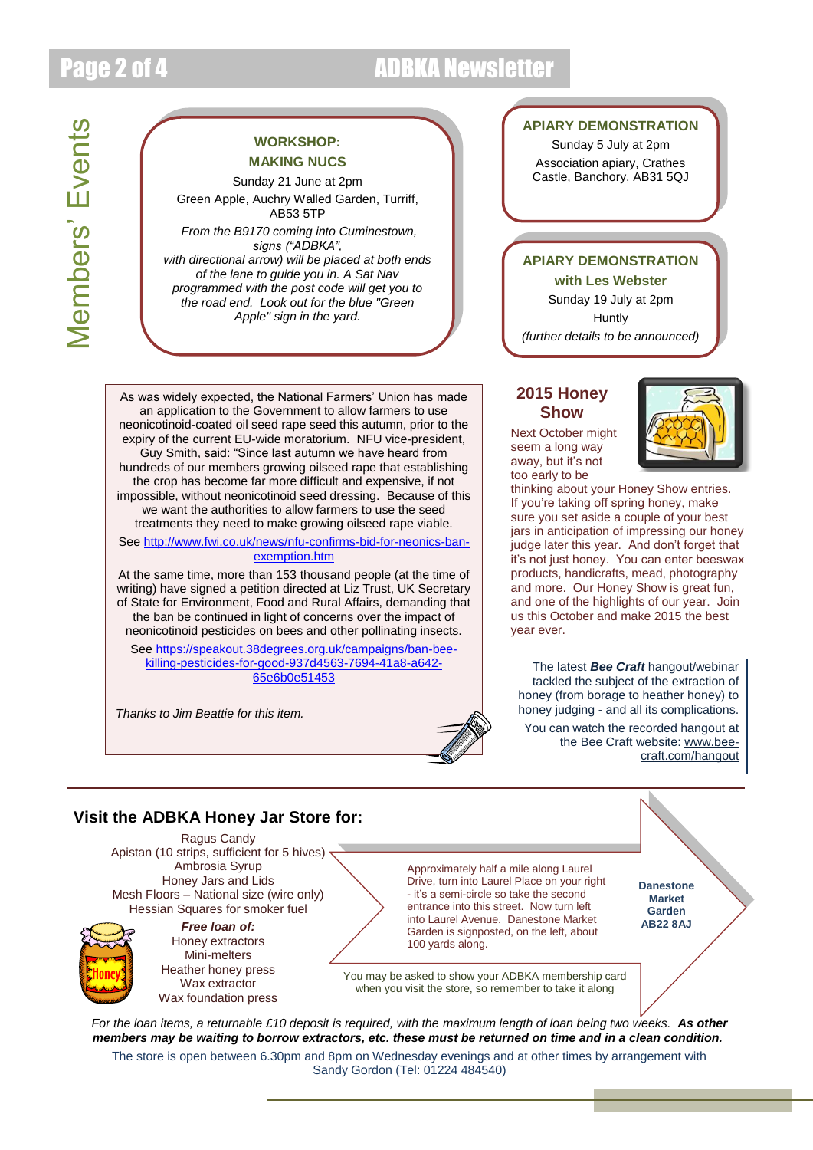# Page 2 of 4 **ADBKA** Newsletter

## **WORKSHOP: MAKING NUCS**

Sunday 21 June at 2pm Green Apple, Auchry Walled Garden, Turriff, AB53 5TP

*From the B9170 coming into Cuminestown, signs ("ADBKA", with directional arrow) will be placed at both ends* 

*of the lane to guide you in. A Sat Nav programmed with the post code will get you to the road end. Look out for the blue "Green Apple" sign in the yard.*

## **APIARY DEMONSTRATION**

Sunday 5 July at 2pm Association apiary, Crathes Castle, Banchory, AB31 5QJ

## **APIARY DEMONSTRATION**

**with Les Webster** Sunday 19 July at 2pm **Huntly** *(further details to be announced)*

As was widely expected, the National Farmers' Union has made an application to the Government to allow farmers to use neonicotinoid-coated oil seed rape seed this autumn, prior to the expiry of the current EU-wide moratorium. NFU vice-president, Guy Smith, said: "Since last autumn we have heard from hundreds of our members growing oilseed rape that establishing the crop has become far more difficult and expensive, if not impossible, without neonicotinoid seed dressing. Because of this we want the authorities to allow farmers to use the seed treatments they need to make growing oilseed rape viable. See [http://www.fwi.co.uk/news/nfu-confirms-bid-for-neonics-ban-](http://www.fwi.co.uk/news/nfu-confirms-bid-for-neonics-ban-exemption.htm)

[exemption.htm](http://www.fwi.co.uk/news/nfu-confirms-bid-for-neonics-ban-exemption.htm) At the same time, more than 153 thousand people (at the time of writing) have signed a petition directed at Liz Trust, UK Secretary of State for Environment, Food and Rural Affairs, demanding that

the ban be continued in light of concerns over the impact of neonicotinoid pesticides on bees and other pollinating insects. See [https://speakout.38degrees.org.uk/campaigns/ban-bee-](https://speakout.38degrees.org.uk/campaigns/ban-bee-killing-pesticides-for-good-937d4563-7694-41a8-a642-65e6b0e51453)

[killing-pesticides-for-good-937d4563-7694-41a8-a642-](https://speakout.38degrees.org.uk/campaigns/ban-bee-killing-pesticides-for-good-937d4563-7694-41a8-a642-65e6b0e51453) [65e6b0e51453](https://speakout.38degrees.org.uk/campaigns/ban-bee-killing-pesticides-for-good-937d4563-7694-41a8-a642-65e6b0e51453)

*Thanks to Jim Beattie for this item.*

## **2015 Honey Show**

Next October might seem a long way away, but it's not too early to be



thinking about your Honey Show entries. If you're taking off spring honey, make sure you set aside a couple of your best jars in anticipation of impressing our honey judge later this year. And don't forget that it's not just honey. You can enter beeswax products, handicrafts, mead, photography and more. Our Honey Show is great fun, and one of the highlights of our year. Join us this October and make 2015 the best year ever.

The latest *Bee Craft* hangout/webinar tackled the subject of the extraction of honey (from borage to heather honey) to honey judging - and all its complications. You can watch the recorded hangout at the Bee Craft website: [www.bee-](http://www.bee-craft.com/hangout)

## **Visit the ADBKA Honey Jar Store for:**

Ragus Candy Apistan (10 strips, sufficient for 5 hives)  $\overline{ }$ Ambrosia Syrup Honey Jars and Lids Mesh Floors – National size (wire only) Hessian Squares for smoker fuel



*Free loan of:* Honey extractors Mini-melters Heather honey press Wax extractor Wax foundation press Approximately half a mile along Laurel Drive, turn into Laurel Place on your right - it's a semi-circle so take the second entrance into this street. Now turn left into Laurel Avenue. Danestone Market Garden is signposted, on the left, about 100 yards along.

**Danestone Market Garden AB22 8AJ**

[craft.com/hangout](http://www.bee-craft.com/hangout)

You may be asked to show your ADBKA membership card when you visit the store, so remember to take it along

*For the loan items, a returnable £10 deposit is required, with the maximum length of loan being two weeks. As other members may be waiting to borrow extractors, etc. these must be returned on time and in a clean condition.*

The store is open between 6.30pm and 8pm on Wednesday evenings and at other times by arrangement with Sandy Gordon (Tel: 01224 484540)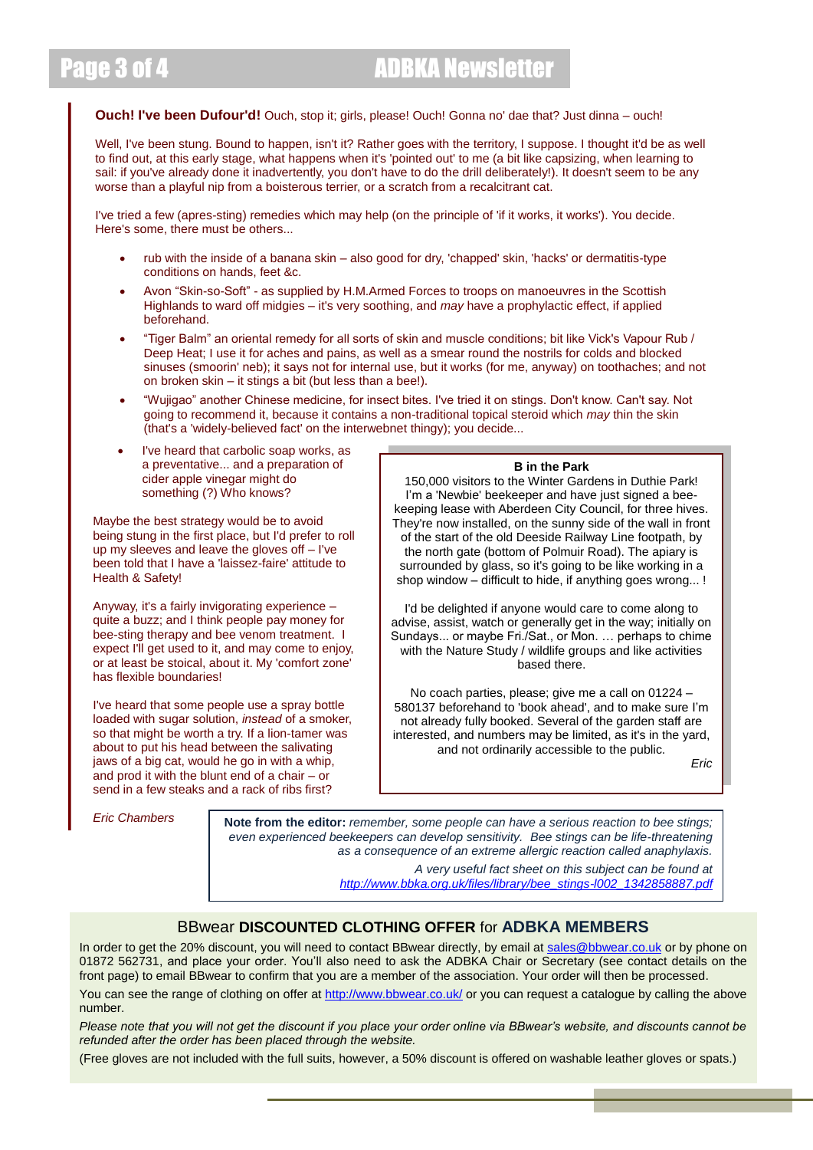# Page 3 of 4 ADBKA Newsletter

#### **Ouch! I've been Dufour'd!** Ouch, stop it; girls, please! Ouch! Gonna no' dae that? Just dinna – ouch!

Well, I've been stung. Bound to happen, isn't it? Rather goes with the territory, I suppose. I thought it'd be as well to find out, at this early stage, what happens when it's 'pointed out' to me (a bit like capsizing, when learning to sail: if you've already done it inadvertently, you don't have to do the drill deliberately!). It doesn't seem to be any worse than a playful nip from a boisterous terrier, or a scratch from a recalcitrant cat.

I've tried a few (apres-sting) remedies which may help (on the principle of 'if it works, it works'). You decide. Here's some, there must be others...

- rub with the inside of a banana skin also good for dry, 'chapped' skin, 'hacks' or dermatitis-type conditions on hands, feet &c.
- Avon "Skin-so-Soft" as supplied by H.M.Armed Forces to troops on manoeuvres in the Scottish Highlands to ward off midgies – it's very soothing, and *may* have a prophylactic effect, if applied beforehand.
- "Tiger Balm" an oriental remedy for all sorts of skin and muscle conditions; bit like Vick's Vapour Rub / Deep Heat; I use it for aches and pains, as well as a smear round the nostrils for colds and blocked sinuses (smoorin' neb); it says not for internal use, but it works (for me, anyway) on toothaches; and not on broken skin – it stings a bit (but less than a bee!).
- "Wujigao" another Chinese medicine, for insect bites. I've tried it on stings. Don't know. Can't say. Not going to recommend it, because it contains a non-traditional topical steroid which *may* thin the skin (that's a 'widely-believed fact' on the interwebnet thingy); you decide...
- I've heard that carbolic soap works, as a preventative... and a preparation of cider apple vinegar might do something (?) Who knows?

Maybe the best strategy would be to avoid being stung in the first place, but I'd prefer to roll up my sleeves and leave the gloves off – I've been told that I have a 'laissez-faire' attitude to Health & Safety!

Anyway, it's a fairly invigorating experience – quite a buzz; and I think people pay money for bee-sting therapy and bee venom treatment. I expect I'll get used to it, and may come to enjoy, or at least be stoical, about it. My 'comfort zone' has flexible boundaries!

I've heard that some people use a spray bottle loaded with sugar solution, *instead* of a smoker, so that might be worth a try. If a lion-tamer was about to put his head between the salivating jaws of a big cat, would he go in with a whip, and prod it with the blunt end of a chair – or send in a few steaks and a rack of ribs first?

### **B in the Park**

150,000 visitors to the Winter Gardens in Duthie Park! I'm a 'Newbie' beekeeper and have just signed a beekeeping lease with Aberdeen City Council, for three hives. They're now installed, on the sunny side of the wall in front of the start of the old Deeside Railway Line footpath, by the north gate (bottom of Polmuir Road). The apiary is surrounded by glass, so it's going to be like working in a shop window – difficult to hide, if anything goes wrong... !

I'd be delighted if anyone would care to come along to advise, assist, watch or generally get in the way; initially on Sundays... or maybe Fri./Sat., or Mon. … perhaps to chime with the Nature Study / wildlife groups and like activities based there.

No coach parties, please; give me a call on 01224 – 580137 beforehand to 'book ahead', and to make sure I'm not already fully booked. Several of the garden staff are interested, and numbers may be limited, as it's in the yard, and not ordinarily accessible to the public.

*Eric*

*Eric Chambers* **Note from the editor:** *remember, some people can have a serious reaction to bee stings; even experienced beekeepers can develop sensitivity. Bee stings can be life-threatening as a consequence of an extreme allergic reaction called anaphylaxis.*

*A very useful fact sheet on this subject can be found at [http://www.bbka.org.uk/files/library/bee\\_stings-l002\\_1342858887.pdf](http://www.bbka.org.uk/files/library/bee_stings-l002_1342858887.pdf)*

## BBwear **DISCOUNTED CLOTHING OFFER** for **ADBKA MEMBERS**

In order to get the 20% discount, you will need to contact BBwear directly, by email at [sales@bbwear.co.uk](mailto:sales@bbwear.co.uk) or by phone on 01872 562731, and place your order. You'll also need to ask the ADBKA Chair or Secretary (see contact details on the front page) to email BBwear to confirm that you are a member of the association. Your order will then be processed.

You can see the range of clothing on offer at<http://www.bbwear.co.uk/> or you can request a catalogue by calling the above number.

*Please note that you will not get the discount if you place your order online via BBwear's website, and discounts cannot be refunded after the order has been placed through the website.*

(Free gloves are not included with the full suits, however, a 50% discount is offered on washable leather gloves or spats.)